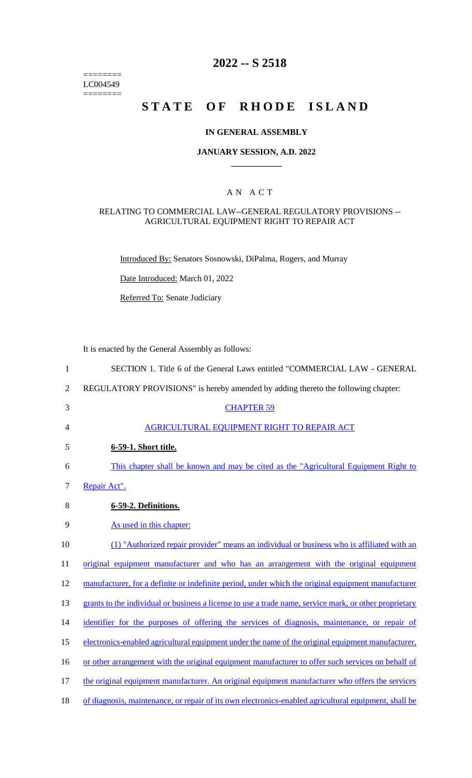======== LC004549  $=$ 

# **2022 -- S 2518**

# **STATE OF RHODE ISLAND**

## **IN GENERAL ASSEMBLY**

#### **JANUARY SESSION, A.D. 2022 \_\_\_\_\_\_\_\_\_\_\_\_**

## A N A C T

### RELATING TO COMMERCIAL LAW--GENERAL REGULATORY PROVISIONS -- AGRICULTURAL EQUIPMENT RIGHT TO REPAIR ACT

Introduced By: Senators Sosnowski, DiPalma, Rogers, and Murray

Date Introduced: March 01, 2022

Referred To: Senate Judiciary

It is enacted by the General Assembly as follows:

| $\mathbf{1}$   | SECTION 1. Title 6 of the General Laws entitled "COMMERCIAL LAW - GENERAL                              |
|----------------|--------------------------------------------------------------------------------------------------------|
| $\overline{2}$ | REGULATORY PROVISIONS" is hereby amended by adding thereto the following chapter:                      |
| 3              | <b>CHAPTER 59</b>                                                                                      |
| 4              | AGRICULTURAL EQUIPMENT RIGHT TO REPAIR ACT                                                             |
| 5              | 6-59-1. Short title.                                                                                   |
| 6              | This chapter shall be known and may be cited as the "Agricultural Equipment Right to                   |
| $\tau$         | Repair Act".                                                                                           |
| 8              | 6-59-2. Definitions.                                                                                   |
| 9              | As used in this chapter:                                                                               |
| 10             | (1) "Authorized repair provider" means an individual or business who is affiliated with an             |
| 11             | original equipment manufacturer and who has an arrangement with the original equipment                 |
| 12             | manufacturer, for a definite or indefinite period, under which the original equipment manufacturer     |
| 13             | grants to the individual or business a license to use a trade name, service mark, or other proprietary |
| 14             | identifier for the purposes of offering the services of diagnosis, maintenance, or repair of           |
| 15             | electronics-enabled agricultural equipment under the name of the original equipment manufacturer,      |
| 16             | or other arrangement with the original equipment manufacturer to offer such services on behalf of      |
| 17             | the original equipment manufacturer. An original equipment manufacturer who offers the services        |
| 18             | of diagnosis, maintenance, or repair of its own electronics-enabled agricultural equipment, shall be   |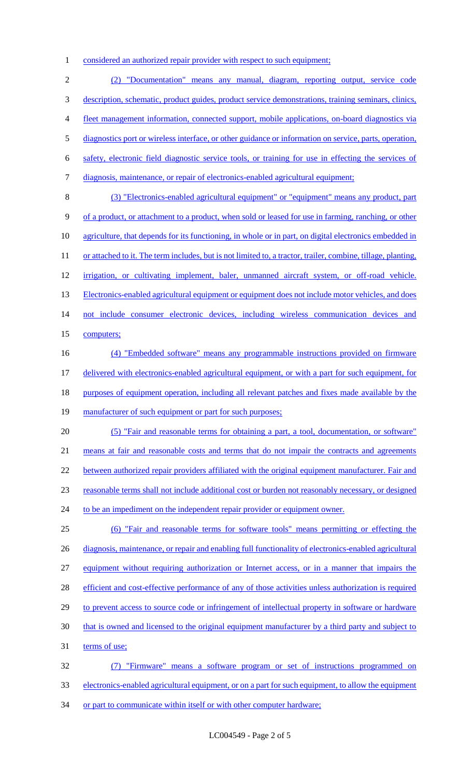1 considered an authorized repair provider with respect to such equipment;

2 (2) "Documentation" means any manual, diagram, reporting output, service code 3 description, schematic, product guides, product service demonstrations, training seminars, clinics, 4 fleet management information, connected support, mobile applications, on-board diagnostics via 5 diagnostics port or wireless interface, or other guidance or information on service, parts, operation, 6 safety, electronic field diagnostic service tools, or training for use in effecting the services of 7 diagnosis, maintenance, or repair of electronics-enabled agricultural equipment; 8 (3) "Electronics-enabled agricultural equipment" or "equipment" means any product, part 9 of a product, or attachment to a product, when sold or leased for use in farming, ranching, or other 10 agriculture, that depends for its functioning, in whole or in part, on digital electronics embedded in 11 or attached to it. The term includes, but is not limited to, a tractor, trailer, combine, tillage, planting, 12 irrigation, or cultivating implement, baler, unmanned aircraft system, or off-road vehicle. 13 Electronics-enabled agricultural equipment or equipment does not include motor vehicles, and does 14 not include consumer electronic devices, including wireless communication devices and 15 computers; 16 (4) "Embedded software" means any programmable instructions provided on firmware 17 delivered with electronics-enabled agricultural equipment, or with a part for such equipment, for 18 purposes of equipment operation, including all relevant patches and fixes made available by the 19 manufacturer of such equipment or part for such purposes; 20 (5) "Fair and reasonable terms for obtaining a part, a tool, documentation, or software" 21 means at fair and reasonable costs and terms that do not impair the contracts and agreements 22 between authorized repair providers affiliated with the original equipment manufacturer. Fair and 23 reasonable terms shall not include additional cost or burden not reasonably necessary, or designed 24 to be an impediment on the independent repair provider or equipment owner. 25 (6) "Fair and reasonable terms for software tools" means permitting or effecting the 26 diagnosis, maintenance, or repair and enabling full functionality of electronics-enabled agricultural 27 equipment without requiring authorization or Internet access, or in a manner that impairs the 28 efficient and cost-effective performance of any of those activities unless authorization is required 29 to prevent access to source code or infringement of intellectual property in software or hardware 30 that is owned and licensed to the original equipment manufacturer by a third party and subject to 31 terms of use; 32 (7) "Firmware" means a software program or set of instructions programmed on 33 electronics-enabled agricultural equipment, or on a part for such equipment, to allow the equipment

34 or part to communicate within itself or with other computer hardware;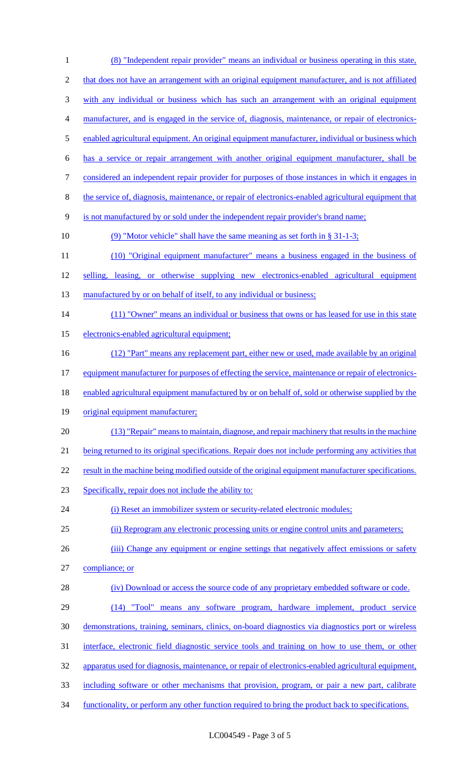(8) "Independent repair provider" means an individual or business operating in this state, 2 that does not have an arrangement with an original equipment manufacturer, and is not affiliated with any individual or business which has such an arrangement with an original equipment manufacturer, and is engaged in the service of, diagnosis, maintenance, or repair of electronics-5 enabled agricultural equipment. An original equipment manufacturer, individual or business which has a service or repair arrangement with another original equipment manufacturer, shall be considered an independent repair provider for purposes of those instances in which it engages in the service of, diagnosis, maintenance, or repair of electronics-enabled agricultural equipment that is not manufactured by or sold under the independent repair provider's brand name; (9) "Motor vehicle" shall have the same meaning as set forth in § 31-1-3; (10) "Original equipment manufacturer" means a business engaged in the business of 12 selling, leasing, or otherwise supplying new electronics-enabled agricultural equipment 13 manufactured by or on behalf of itself, to any individual or business; 14 (11) "Owner" means an individual or business that owns or has leased for use in this state electronics-enabled agricultural equipment; (12) "Part" means any replacement part, either new or used, made available by an original 17 equipment manufacturer for purposes of effecting the service, maintenance or repair of electronics-18 enabled agricultural equipment manufactured by or on behalf of, sold or otherwise supplied by the original equipment manufacturer; (13) "Repair" means to maintain, diagnose, and repair machinery that results in the machine being returned to its original specifications. Repair does not include performing any activities that 22 result in the machine being modified outside of the original equipment manufacturer specifications. Specifically, repair does not include the ability to: 24 (i) Reset an immobilizer system or security-related electronic modules; (ii) Reprogram any electronic processing units or engine control units and parameters; 26 (iii) Change any equipment or engine settings that negatively affect emissions or safety compliance; or 28 (iv) Download or access the source code of any proprietary embedded software or code. (14) "Tool" means any software program, hardware implement, product service demonstrations, training, seminars, clinics, on-board diagnostics via diagnostics port or wireless interface, electronic field diagnostic service tools and training on how to use them, or other apparatus used for diagnosis, maintenance, or repair of electronics-enabled agricultural equipment, including software or other mechanisms that provision, program, or pair a new part, calibrate functionality, or perform any other function required to bring the product back to specifications.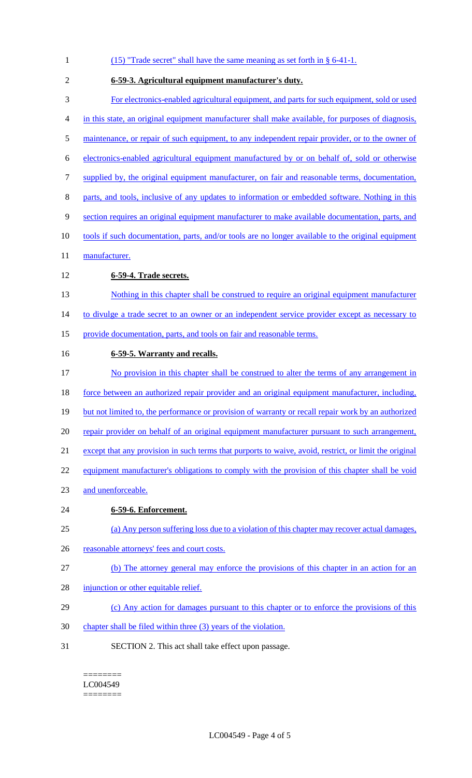| $\mathbf{1}$ | $(15)$ "Trade secret" shall have the same meaning as set forth in § 6-41-1.                            |
|--------------|--------------------------------------------------------------------------------------------------------|
| 2            | 6-59-3. Agricultural equipment manufacturer's duty.                                                    |
| 3            | For electronics-enabled agricultural equipment, and parts for such equipment, sold or used             |
| 4            | in this state, an original equipment manufacturer shall make available, for purposes of diagnosis,     |
| 5            | maintenance, or repair of such equipment, to any independent repair provider, or to the owner of       |
| 6            | electronics-enabled agricultural equipment manufactured by or on behalf of, sold or otherwise          |
| 7            | supplied by, the original equipment manufacturer, on fair and reasonable terms, documentation,         |
| 8            | parts, and tools, inclusive of any updates to information or embedded software. Nothing in this        |
| 9            | section requires an original equipment manufacturer to make available documentation, parts, and        |
| 10           | tools if such documentation, parts, and/or tools are no longer available to the original equipment     |
| 11           | manufacturer.                                                                                          |
| 12           | 6-59-4. Trade secrets.                                                                                 |
| 13           | Nothing in this chapter shall be construed to require an original equipment manufacturer               |
| 14           | to divulge a trade secret to an owner or an independent service provider except as necessary to        |
| 15           | provide documentation, parts, and tools on fair and reasonable terms.                                  |
| 16           | 6-59-5. Warranty and recalls.                                                                          |
| 17           | No provision in this chapter shall be construed to alter the terms of any arrangement in               |
| 18           | force between an authorized repair provider and an original equipment manufacturer, including,         |
| 19           | but not limited to, the performance or provision of warranty or recall repair work by an authorized    |
| 20           | repair provider on behalf of an original equipment manufacturer pursuant to such arrangement,          |
| 21           | except that any provision in such terms that purports to waive, avoid, restrict, or limit the original |
| 22           | equipment manufacturer's obligations to comply with the provision of this chapter shall be void        |
| 23           | and unenforceable.                                                                                     |
| 24           | 6-59-6. Enforcement.                                                                                   |
| 25           | (a) Any person suffering loss due to a violation of this chapter may recover actual damages,           |
| 26           | reasonable attorneys' fees and court costs.                                                            |
| 27           | (b) The attorney general may enforce the provisions of this chapter in an action for an                |
| 28           | injunction or other equitable relief.                                                                  |
| 29           | (c) Any action for damages pursuant to this chapter or to enforce the provisions of this               |
| 30           | chapter shall be filed within three (3) years of the violation.                                        |
| 31           | SECTION 2. This act shall take effect upon passage.                                                    |

 $=$ LC004549 ========